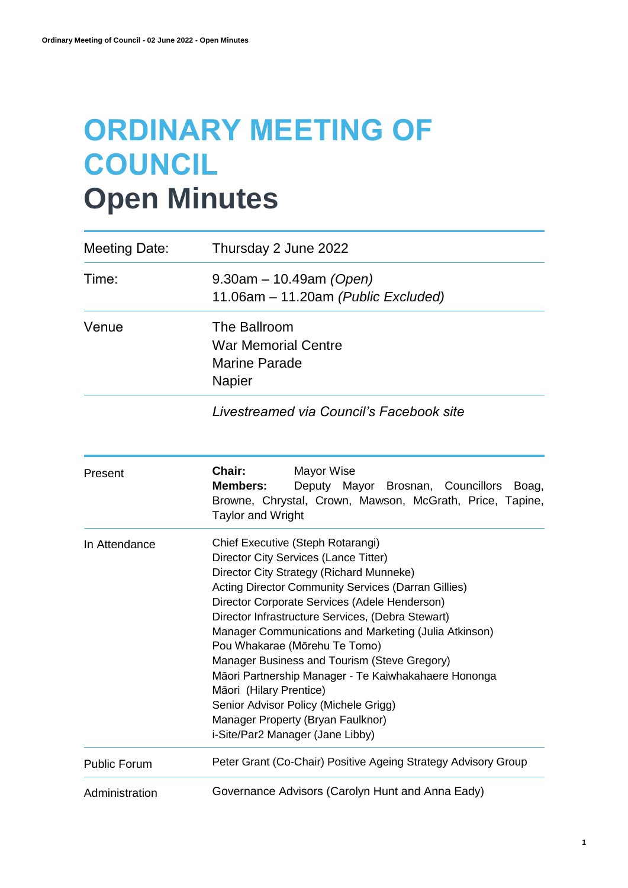# **ORDINARY MEETING OF COUNCIL Open Minutes**

| Meeting Date:       | Thursday 2 June 2022                                                                                                                                                                                                                                                                                                                                                                                                                                                                                                                                                                                                                      |
|---------------------|-------------------------------------------------------------------------------------------------------------------------------------------------------------------------------------------------------------------------------------------------------------------------------------------------------------------------------------------------------------------------------------------------------------------------------------------------------------------------------------------------------------------------------------------------------------------------------------------------------------------------------------------|
| Time:               | $9.30am - 10.49am (Open)$<br>11.06am – 11.20am (Public Excluded)                                                                                                                                                                                                                                                                                                                                                                                                                                                                                                                                                                          |
| Venue               | The Ballroom<br><b>War Memorial Centre</b><br><b>Marine Parade</b><br><b>Napier</b>                                                                                                                                                                                                                                                                                                                                                                                                                                                                                                                                                       |
|                     | Livestreamed via Council's Facebook site                                                                                                                                                                                                                                                                                                                                                                                                                                                                                                                                                                                                  |
| Present             | Chair:<br>Mayor Wise<br><b>Members:</b><br>Deputy Mayor Brosnan, Councillors<br>Boag,<br>Browne, Chrystal, Crown, Mawson, McGrath, Price, Tapine,<br><b>Taylor and Wright</b>                                                                                                                                                                                                                                                                                                                                                                                                                                                             |
| In Attendance       | Chief Executive (Steph Rotarangi)<br>Director City Services (Lance Titter)<br>Director City Strategy (Richard Munneke)<br><b>Acting Director Community Services (Darran Gillies)</b><br>Director Corporate Services (Adele Henderson)<br>Director Infrastructure Services, (Debra Stewart)<br>Manager Communications and Marketing (Julia Atkinson)<br>Pou Whakarae (Mōrehu Te Tomo)<br>Manager Business and Tourism (Steve Gregory)<br>Māori Partnership Manager - Te Kaiwhakahaere Hononga<br>Māori (Hilary Prentice)<br>Senior Advisor Policy (Michele Grigg)<br>Manager Property (Bryan Faulknor)<br>i-Site/Par2 Manager (Jane Libby) |
| <b>Public Forum</b> | Peter Grant (Co-Chair) Positive Ageing Strategy Advisory Group                                                                                                                                                                                                                                                                                                                                                                                                                                                                                                                                                                            |
| Administration      | Governance Advisors (Carolyn Hunt and Anna Eady)                                                                                                                                                                                                                                                                                                                                                                                                                                                                                                                                                                                          |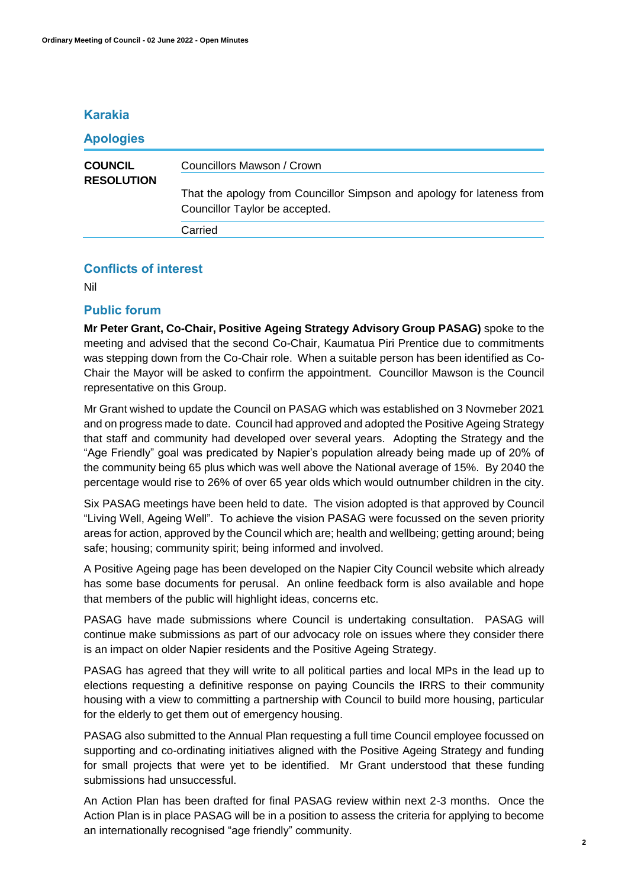# **Karakia**

| <b>Apologies</b>                    |                                                                                                          |
|-------------------------------------|----------------------------------------------------------------------------------------------------------|
| <b>COUNCIL</b><br><b>RESOLUTION</b> | Councillors Mawson / Crown                                                                               |
|                                     | That the apology from Councillor Simpson and apology for lateness from<br>Councillor Taylor be accepted. |
|                                     | Carried                                                                                                  |

# **Conflicts of interest**

Nil

# **Public forum**

**Mr Peter Grant, Co-Chair, Positive Ageing Strategy Advisory Group PASAG)** spoke to the meeting and advised that the second Co-Chair, Kaumatua Piri Prentice due to commitments was stepping down from the Co-Chair role. When a suitable person has been identified as Co-Chair the Mayor will be asked to confirm the appointment. Councillor Mawson is the Council representative on this Group.

Mr Grant wished to update the Council on PASAG which was established on 3 Novmeber 2021 and on progress made to date. Council had approved and adopted the Positive Ageing Strategy that staff and community had developed over several years. Adopting the Strategy and the "Age Friendly" goal was predicated by Napier's population already being made up of 20% of the community being 65 plus which was well above the National average of 15%. By 2040 the percentage would rise to 26% of over 65 year olds which would outnumber children in the city.

Six PASAG meetings have been held to date. The vision adopted is that approved by Council "Living Well, Ageing Well". To achieve the vision PASAG were focussed on the seven priority areas for action, approved by the Council which are; health and wellbeing; getting around; being safe; housing; community spirit; being informed and involved.

A Positive Ageing page has been developed on the Napier City Council website which already has some base documents for perusal. An online feedback form is also available and hope that members of the public will highlight ideas, concerns etc.

PASAG have made submissions where Council is undertaking consultation. PASAG will continue make submissions as part of our advocacy role on issues where they consider there is an impact on older Napier residents and the Positive Ageing Strategy.

PASAG has agreed that they will write to all political parties and local MPs in the lead up to elections requesting a definitive response on paying Councils the IRRS to their community housing with a view to committing a partnership with Council to build more housing, particular for the elderly to get them out of emergency housing.

PASAG also submitted to the Annual Plan requesting a full time Council employee focussed on supporting and co-ordinating initiatives aligned with the Positive Ageing Strategy and funding for small projects that were yet to be identified. Mr Grant understood that these funding submissions had unsuccessful.

An Action Plan has been drafted for final PASAG review within next 2-3 months. Once the Action Plan is in place PASAG will be in a position to assess the criteria for applying to become an internationally recognised "age friendly" community.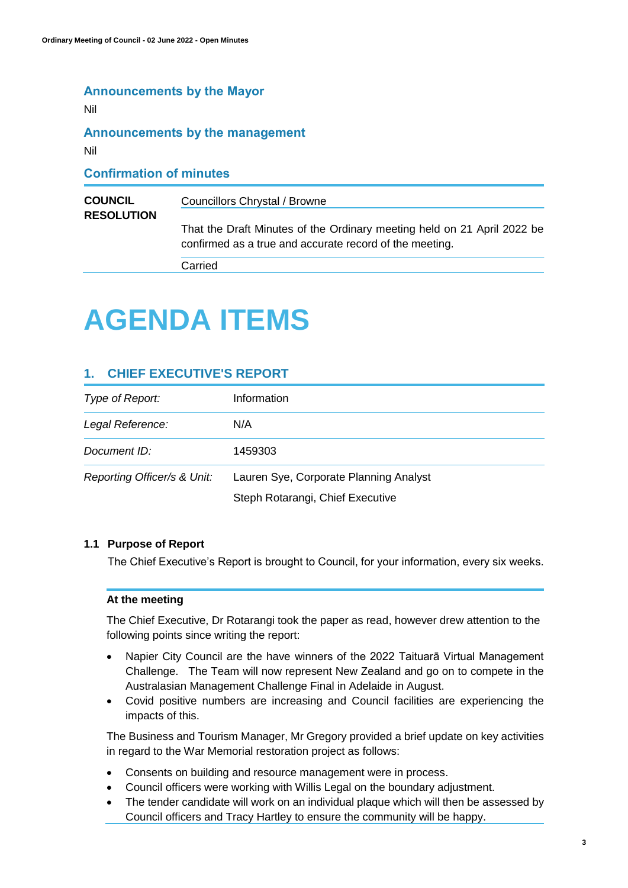# **Announcements by the Mayor**

Nil

# **Announcements by the management**

Nil

# **Confirmation of minutes COUNCIL RESOLUTION** Councillors Chrystal / Browne That the Draft Minutes of the Ordinary meeting held on 21 April 2022 be confirmed as a true and accurate record of the meeting. Carried

# **AGENDA ITEMS**

# **1. CHIEF EXECUTIVE'S REPORT**

| Type of Report:             | Information                                                                |
|-----------------------------|----------------------------------------------------------------------------|
| Legal Reference:            | N/A                                                                        |
| Document ID:                | 1459303                                                                    |
| Reporting Officer/s & Unit: | Lauren Sye, Corporate Planning Analyst<br>Steph Rotarangi, Chief Executive |

## **1.1 Purpose of Report**

The Chief Executive's Report is brought to Council, for your information, every six weeks.

# **At the meeting**

The Chief Executive, Dr Rotarangi took the paper as read, however drew attention to the following points since writing the report:

- Napier City Council are the have winners of the 2022 Taituarā Virtual Management Challenge. The Team will now represent New Zealand and go on to compete in the Australasian Management Challenge Final in Adelaide in August.
- Covid positive numbers are increasing and Council facilities are experiencing the impacts of this.

The Business and Tourism Manager, Mr Gregory provided a brief update on key activities in regard to the War Memorial restoration project as follows:

- Consents on building and resource management were in process.
- Council officers were working with Willis Legal on the boundary adjustment.
- The tender candidate will work on an individual plaque which will then be assessed by Council officers and Tracy Hartley to ensure the community will be happy.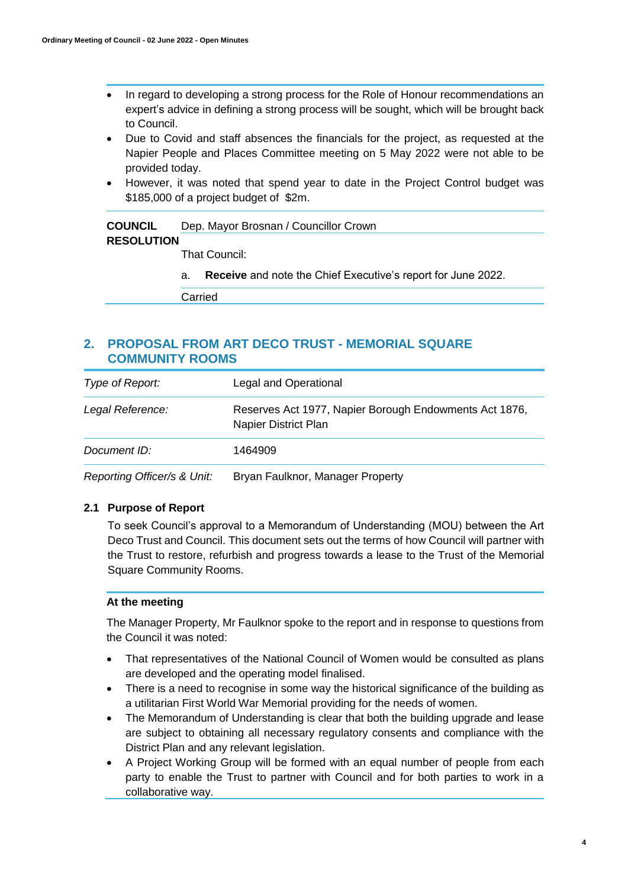- In regard to developing a strong process for the Role of Honour recommendations an expert's advice in defining a strong process will be sought, which will be brought back to Council.
- Due to Covid and staff absences the financials for the project, as requested at the Napier People and Places Committee meeting on 5 May 2022 were not able to be provided today.
- However, it was noted that spend year to date in the Project Control budget was \$185,000 of a project budget of \$2m.

| <b>COUNCIL</b>    | Dep. Mayor Brosnan / Councillor Crown |
|-------------------|---------------------------------------|
| <b>RESOLUTION</b> |                                       |
|                   | That Council:                         |
|                   |                                       |

a. **Receive** and note the Chief Executive's report for June 2022.

Carried

# **2. PROPOSAL FROM ART DECO TRUST - MEMORIAL SQUARE COMMUNITY ROOMS**

| Type of Report:  | Legal and Operational                                                          |
|------------------|--------------------------------------------------------------------------------|
| Legal Reference: | Reserves Act 1977, Napier Borough Endowments Act 1876,<br>Napier District Plan |
| Document ID:     | 1464909                                                                        |
|                  |                                                                                |

*Reporting Officer/s & Unit:* Bryan Faulknor, Manager Property

# **2.1 Purpose of Report**

To seek Council's approval to a Memorandum of Understanding (MOU) between the Art Deco Trust and Council. This document sets out the terms of how Council will partner with the Trust to restore, refurbish and progress towards a lease to the Trust of the Memorial Square Community Rooms.

## **At the meeting**

The Manager Property, Mr Faulknor spoke to the report and in response to questions from the Council it was noted:

- That representatives of the National Council of Women would be consulted as plans are developed and the operating model finalised.
- There is a need to recognise in some way the historical significance of the building as a utilitarian First World War Memorial providing for the needs of women.
- The Memorandum of Understanding is clear that both the building upgrade and lease are subject to obtaining all necessary regulatory consents and compliance with the District Plan and any relevant legislation.
- A Project Working Group will be formed with an equal number of people from each party to enable the Trust to partner with Council and for both parties to work in a collaborative way.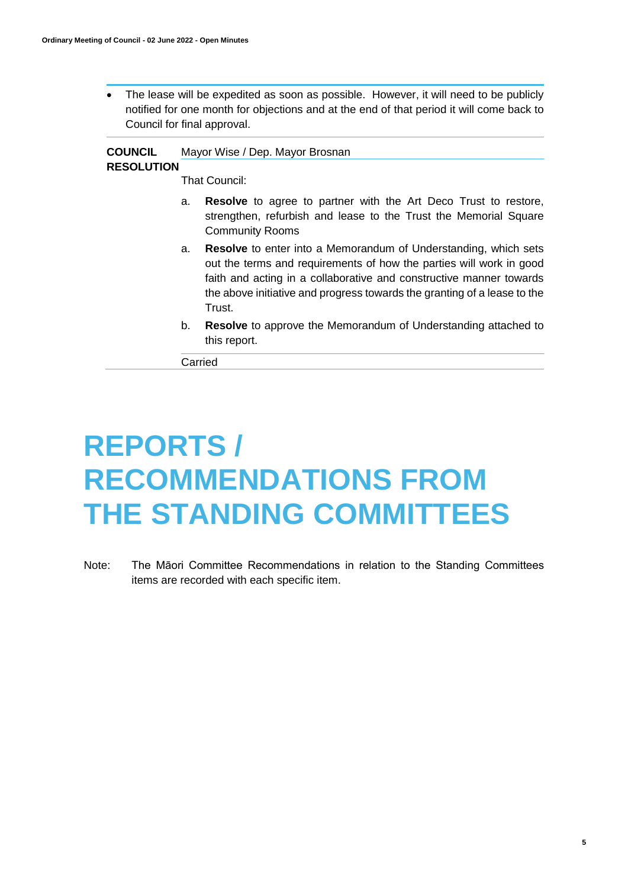The lease will be expedited as soon as possible. However, it will need to be publicly notified for one month for objections and at the end of that period it will come back to Council for final approval.

#### **COUNCIL**  Mayor Wise / Dep. Mayor Brosnan

# **RESOLUTION**

That Council:

- a. **Resolve** to agree to partner with the Art Deco Trust to restore, strengthen, refurbish and lease to the Trust the Memorial Square Community Rooms
- a. **Resolve** to enter into a Memorandum of Understanding, which sets out the terms and requirements of how the parties will work in good faith and acting in a collaborative and constructive manner towards the above initiative and progress towards the granting of a lease to the Trust.
- b. **Resolve** to approve the Memorandum of Understanding attached to this report.

Carried

# **REPORTS / RECOMMENDATIONS FROM THE STANDING COMMITTEES**

Note: The Māori Committee Recommendations in relation to the Standing Committees items are recorded with each specific item.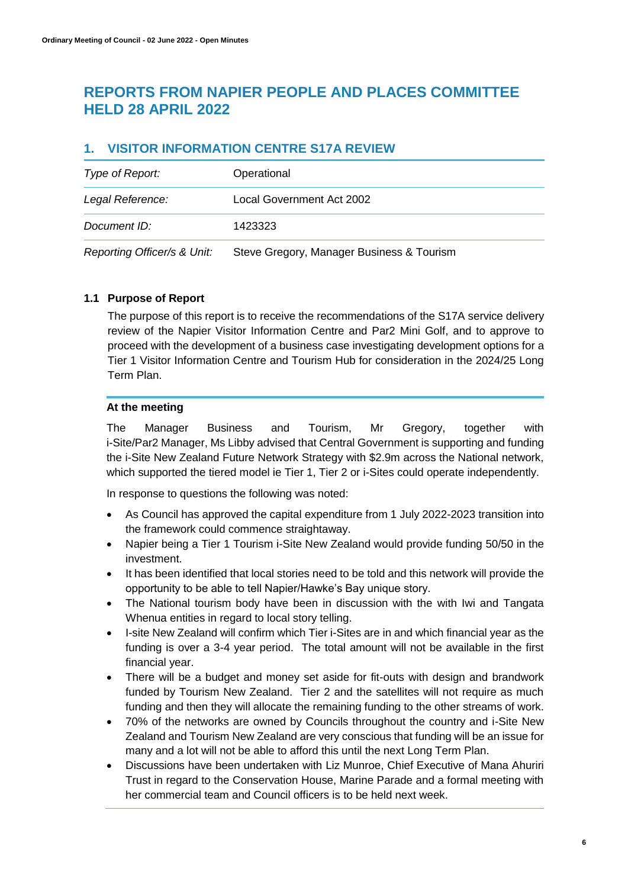# **REPORTS FROM NAPIER PEOPLE AND PLACES COMMITTEE HELD 28 APRIL 2022**

# **1. VISITOR INFORMATION CENTRE S17A REVIEW**

| Type of Report:             | Operational                               |
|-----------------------------|-------------------------------------------|
| Legal Reference:            | Local Government Act 2002                 |
| Document ID:                | 1423323                                   |
| Reporting Officer/s & Unit: | Steve Gregory, Manager Business & Tourism |

# **1.1 Purpose of Report**

The purpose of this report is to receive the recommendations of the S17A service delivery review of the Napier Visitor Information Centre and Par2 Mini Golf, and to approve to proceed with the development of a business case investigating development options for a Tier 1 Visitor Information Centre and Tourism Hub for consideration in the 2024/25 Long Term Plan.

# **At the meeting**

The Manager Business and Tourism, Mr Gregory, together with i-Site/Par2 Manager, Ms Libby advised that Central Government is supporting and funding the i-Site New Zealand Future Network Strategy with \$2.9m across the National network, which supported the tiered model ie Tier 1, Tier 2 or i-Sites could operate independently.

In response to questions the following was noted:

- As Council has approved the capital expenditure from 1 July 2022-2023 transition into the framework could commence straightaway.
- Napier being a Tier 1 Tourism i-Site New Zealand would provide funding 50/50 in the investment.
- It has been identified that local stories need to be told and this network will provide the opportunity to be able to tell Napier/Hawke's Bay unique story.
- The National tourism body have been in discussion with the with Iwi and Tangata Whenua entities in regard to local story telling.
- I-site New Zealand will confirm which Tier i-Sites are in and which financial year as the funding is over a 3-4 year period. The total amount will not be available in the first financial year.
- There will be a budget and money set aside for fit-outs with design and brandwork funded by Tourism New Zealand. Tier 2 and the satellites will not require as much funding and then they will allocate the remaining funding to the other streams of work.
- 70% of the networks are owned by Councils throughout the country and i-Site New Zealand and Tourism New Zealand are very conscious that funding will be an issue for many and a lot will not be able to afford this until the next Long Term Plan.
- Discussions have been undertaken with Liz Munroe, Chief Executive of Mana Ahuriri Trust in regard to the Conservation House, Marine Parade and a formal meeting with her commercial team and Council officers is to be held next week.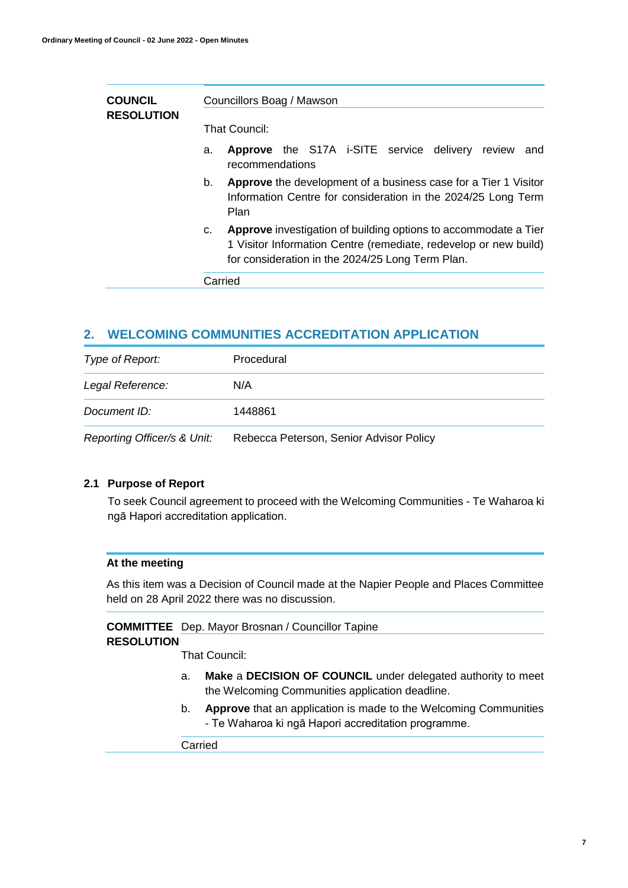| <b>COUNCIL</b><br><b>RESOLUTION</b> |    | Councillors Boag / Mawson<br>That Council:                                                                                                                                              |
|-------------------------------------|----|-----------------------------------------------------------------------------------------------------------------------------------------------------------------------------------------|
|                                     | a. | Approve the S17A i-SITE service delivery review<br>and<br>recommendations                                                                                                               |
|                                     | b. | Approve the development of a business case for a Tier 1 Visitor<br>Information Centre for consideration in the 2024/25 Long Term<br>Plan                                                |
|                                     | C. | Approve investigation of building options to accommodate a Tier<br>1 Visitor Information Centre (remediate, redevelop or new build)<br>for consideration in the 2024/25 Long Term Plan. |
|                                     |    | Carried                                                                                                                                                                                 |

# **2. WELCOMING COMMUNITIES ACCREDITATION APPLICATION**

| Type of Report:             | Procedural                              |
|-----------------------------|-----------------------------------------|
| Legal Reference:            | N/A                                     |
| Document ID:                | 1448861                                 |
| Reporting Officer/s & Unit: | Rebecca Peterson, Senior Advisor Policy |

### **2.1 Purpose of Report**

To seek Council agreement to proceed with the Welcoming Communities - Te Waharoa ki ngā Hapori accreditation application.

## **At the meeting**

As this item was a Decision of Council made at the Napier People and Places Committee held on 28 April 2022 there was no discussion.

## **COMMITTEE**  Dep. Mayor Brosnan / Councillor Tapine

# **RESOLUTION**

That Council:

- a. **Make** a **DECISION OF COUNCIL** under delegated authority to meet the Welcoming Communities application deadline.
- b. **Approve** that an application is made to the Welcoming Communities - Te Waharoa ki ngā Hapori accreditation programme.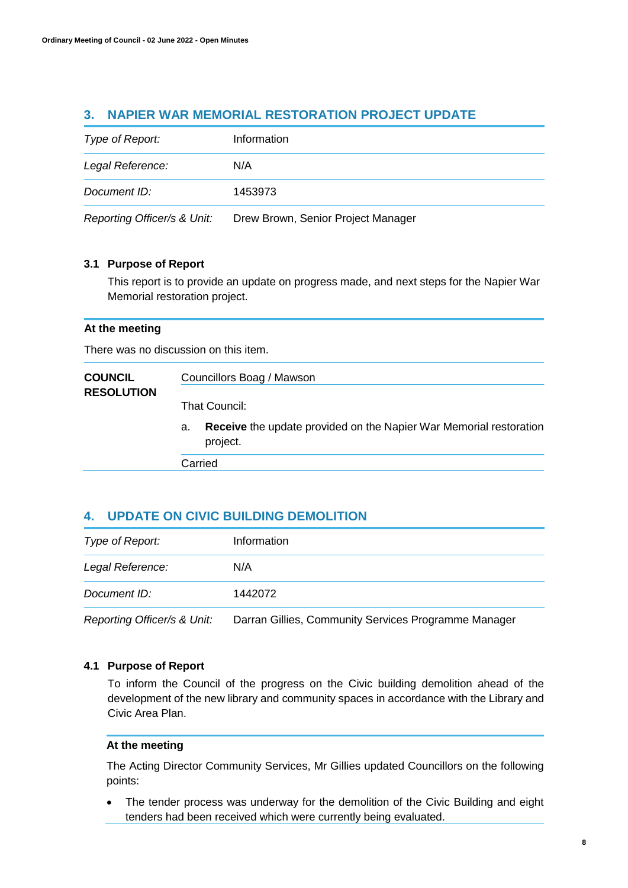# **3. NAPIER WAR MEMORIAL RESTORATION PROJECT UPDATE**

| Type of Report:             | Information                        |
|-----------------------------|------------------------------------|
| Legal Reference:            | N/A                                |
| Document ID:                | 1453973                            |
| Reporting Officer/s & Unit: | Drew Brown, Senior Project Manager |

# **3.1 Purpose of Report**

This report is to provide an update on progress made, and next steps for the Napier War Memorial restoration project.

### **At the meeting**

There was no discussion on this item.

| <b>COUNCIL</b><br><b>RESOLUTION</b> | Councillors Boag / Mawson                                                            |  |
|-------------------------------------|--------------------------------------------------------------------------------------|--|
|                                     | That Council:                                                                        |  |
|                                     | Receive the update provided on the Napier War Memorial restoration<br>a.<br>project. |  |
|                                     | Carried                                                                              |  |

# **4. UPDATE ON CIVIC BUILDING DEMOLITION**

| Type of Report:             | Information                                          |
|-----------------------------|------------------------------------------------------|
| Legal Reference:            | N/A                                                  |
| Document ID:                | 1442072                                              |
| Reporting Officer/s & Unit: | Darran Gillies, Community Services Programme Manager |

## **4.1 Purpose of Report**

To inform the Council of the progress on the Civic building demolition ahead of the development of the new library and community spaces in accordance with the Library and Civic Area Plan.

## **At the meeting**

The Acting Director Community Services, Mr Gillies updated Councillors on the following points:

 The tender process was underway for the demolition of the Civic Building and eight tenders had been received which were currently being evaluated.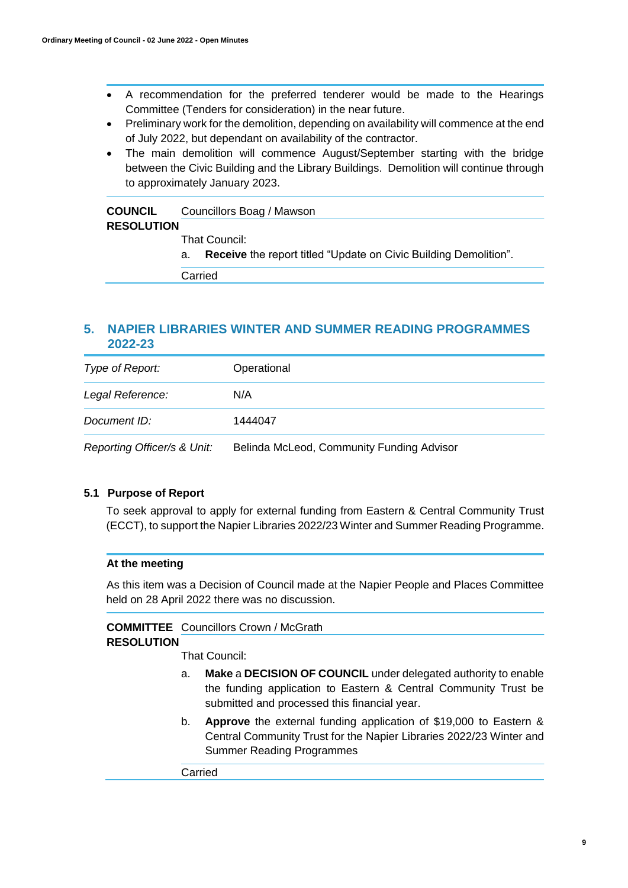- A recommendation for the preferred tenderer would be made to the Hearings Committee (Tenders for consideration) in the near future.
- Preliminary work for the demolition, depending on availability will commence at the end of July 2022, but dependant on availability of the contractor.
- The main demolition will commence August/September starting with the bridge between the Civic Building and the Library Buildings. Demolition will continue through to approximately January 2023.

| <b>COUNCIL</b>    | Councillors Boag / Mawson                                                     |  |  |
|-------------------|-------------------------------------------------------------------------------|--|--|
| <b>RESOLUTION</b> |                                                                               |  |  |
|                   | That Council:                                                                 |  |  |
|                   | <b>Receive</b> the report titled "Update on Civic Building Demolition".<br>а. |  |  |
|                   | Carried                                                                       |  |  |

# **5. NAPIER LIBRARIES WINTER AND SUMMER READING PROGRAMMES 2022-23**

| Type of Report:             | Operational                               |
|-----------------------------|-------------------------------------------|
| Legal Reference:            | N/A                                       |
| Document ID:                | 1444047                                   |
| Reporting Officer/s & Unit: | Belinda McLeod, Community Funding Advisor |

# **5.1 Purpose of Report**

To seek approval to apply for external funding from Eastern & Central Community Trust (ECCT), to support the Napier Libraries 2022/23 Winter and Summer Reading Programme.

## **At the meeting**

As this item was a Decision of Council made at the Napier People and Places Committee held on 28 April 2022 there was no discussion.

# **COMMITTEE**  Councillors Crown / McGrath

## **RESOLUTION**

That Council:

- a. **Make** a **DECISION OF COUNCIL** under delegated authority to enable the funding application to Eastern & Central Community Trust be submitted and processed this financial year.
- b. **Approve** the external funding application of \$19,000 to Eastern & Central Community Trust for the Napier Libraries 2022/23 Winter and Summer Reading Programmes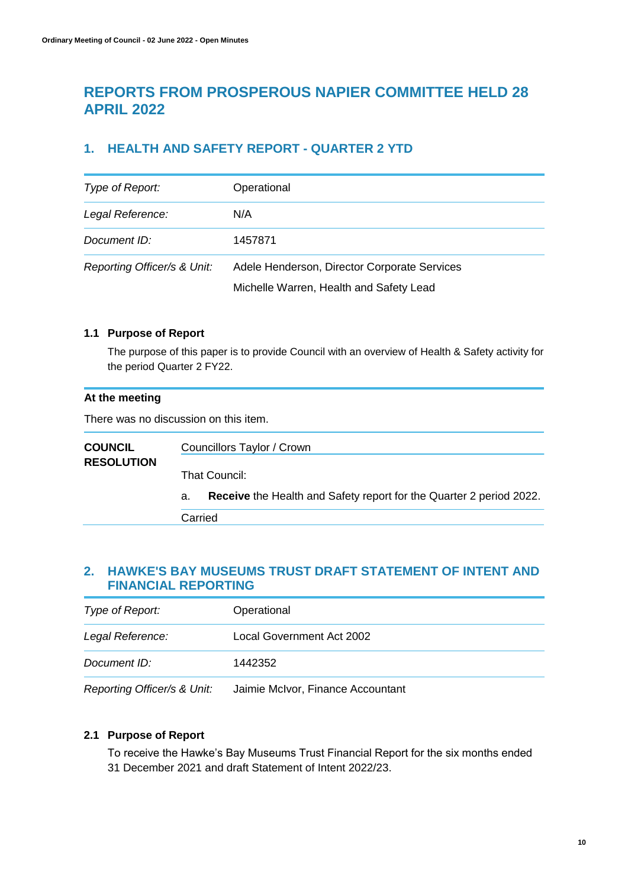# **REPORTS FROM PROSPEROUS NAPIER COMMITTEE HELD 28 APRIL 2022**

# **1. HEALTH AND SAFETY REPORT - QUARTER 2 YTD**

| Type of Report:             | Operational                                                                             |
|-----------------------------|-----------------------------------------------------------------------------------------|
| Legal Reference:            | N/A                                                                                     |
| Document ID:                | 1457871                                                                                 |
| Reporting Officer/s & Unit: | Adele Henderson, Director Corporate Services<br>Michelle Warren, Health and Safety Lead |

# **1.1 Purpose of Report**

The purpose of this paper is to provide Council with an overview of Health & Safety activity for the period Quarter 2 FY22.

# **At the meeting**

There was no discussion on this item.

| <b>COUNCIL</b><br><b>RESOLUTION</b> |         | Councillors Taylor / Crown                                                 |
|-------------------------------------|---------|----------------------------------------------------------------------------|
|                                     |         | That Council:                                                              |
|                                     | а.      | <b>Receive</b> the Health and Safety report for the Quarter 2 period 2022. |
|                                     | Carried |                                                                            |

# **2. HAWKE'S BAY MUSEUMS TRUST DRAFT STATEMENT OF INTENT AND FINANCIAL REPORTING**

| Type of Report:  | Operational               |
|------------------|---------------------------|
| Legal Reference: | Local Government Act 2002 |
| Document ID:     | 1442352                   |
|                  |                           |

*Reporting Officer/s & Unit:* Jaimie McIvor, Finance Accountant

# **2.1 Purpose of Report**

To receive the Hawke's Bay Museums Trust Financial Report for the six months ended 31 December 2021 and draft Statement of Intent 2022/23.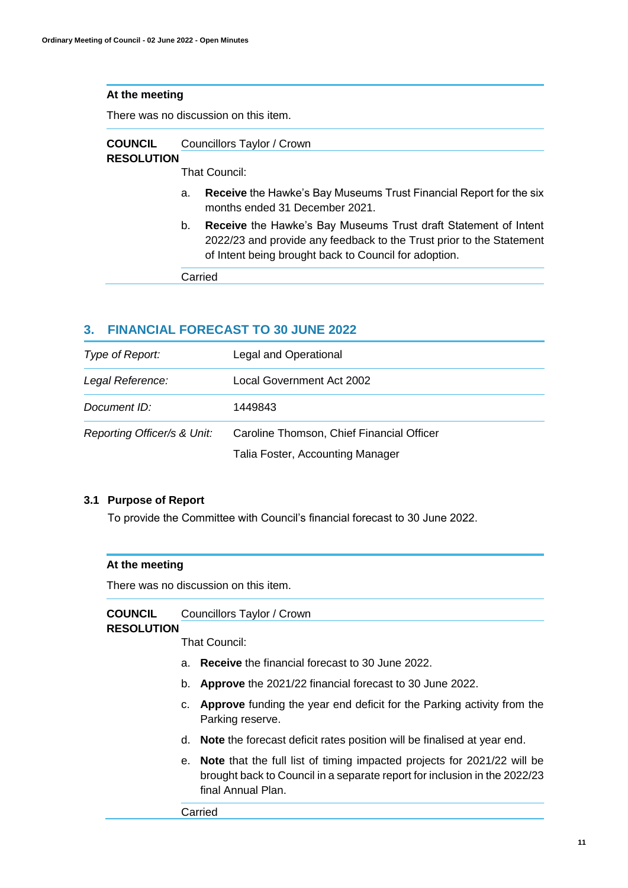There was no discussion on this item.

| <b>COUNCIL</b>    | Councillors Taylor / Crown |
|-------------------|----------------------------|
| <b>RESOLUTION</b> |                            |
|                   | That Council:              |

- a. **Receive** the Hawke's Bay Museums Trust Financial Report for the six months ended 31 December 2021.
- b. **Receive** the Hawke's Bay Museums Trust draft Statement of Intent 2022/23 and provide any feedback to the Trust prior to the Statement of Intent being brought back to Council for adoption.

Carried

# **3. FINANCIAL FORECAST TO 30 JUNE 2022**

| Type of Report:             | Legal and Operational                     |
|-----------------------------|-------------------------------------------|
| Legal Reference:            | Local Government Act 2002                 |
| Document ID:                | 1449843                                   |
| Reporting Officer/s & Unit: | Caroline Thomson, Chief Financial Officer |
|                             | Talia Foster, Accounting Manager          |

## **3.1 Purpose of Report**

To provide the Committee with Council's financial forecast to 30 June 2022.

## **At the meeting**

There was no discussion on this item.

| <b>COUNCIL</b> | Councillors Taylor / Crown |
|----------------|----------------------------|
|----------------|----------------------------|

## **RESOLUTION**

That Council:

- a. **Receive** the financial forecast to 30 June 2022.
- b. **Approve** the 2021/22 financial forecast to 30 June 2022.
- c. **Approve** funding the year end deficit for the Parking activity from the Parking reserve.
- d. **Note** the forecast deficit rates position will be finalised at year end.
- e. **Note** that the full list of timing impacted projects for 2021/22 will be brought back to Council in a separate report for inclusion in the 2022/23 final Annual Plan.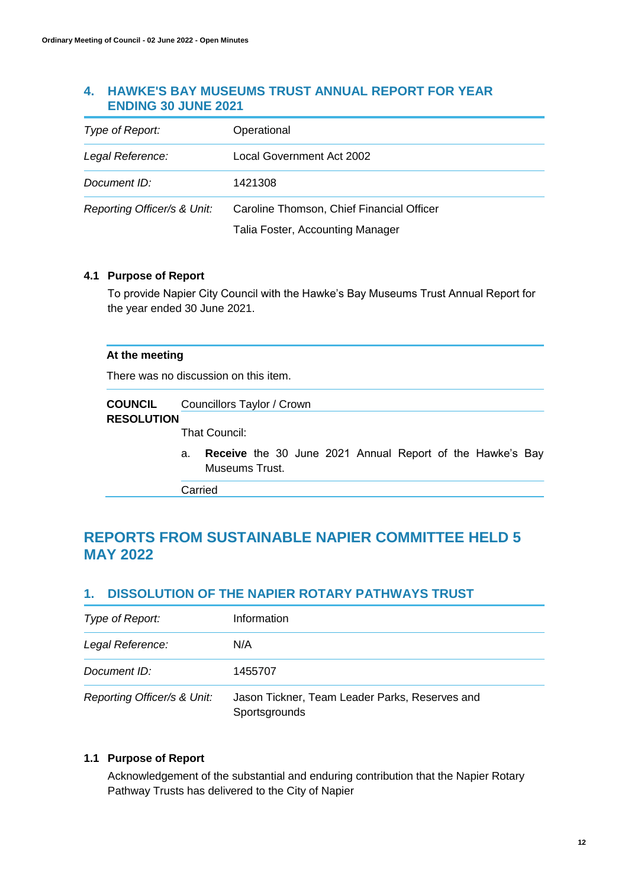# **4. HAWKE'S BAY MUSEUMS TRUST ANNUAL REPORT FOR YEAR ENDING 30 JUNE 2021**

| Type of Report:             | Operational                               |
|-----------------------------|-------------------------------------------|
| Legal Reference:            | Local Government Act 2002                 |
| Document ID:                | 1421308                                   |
| Reporting Officer/s & Unit: | Caroline Thomson, Chief Financial Officer |
|                             | Talia Foster, Accounting Manager          |

## **4.1 Purpose of Report**

To provide Napier City Council with the Hawke's Bay Museums Trust Annual Report for the year ended 30 June 2021.

### **At the meeting**

There was no discussion on this item.

| <b>COUNCIL</b>    | Councillors Taylor / Crown                               |
|-------------------|----------------------------------------------------------|
| <b>RESOLUTION</b> |                                                          |
|                   | That Council:                                            |
|                   | Beeches the OO have OOOA Accord Beach of the Headeds Bea |

a. **Receive** the 30 June 2021 Annual Report of the Hawke's Bay Museums Trust.

Carried

# **REPORTS FROM SUSTAINABLE NAPIER COMMITTEE HELD 5 MAY 2022**

# **1. DISSOLUTION OF THE NAPIER ROTARY PATHWAYS TRUST**

| Type of Report:             | Information                                                     |
|-----------------------------|-----------------------------------------------------------------|
| Legal Reference:            | N/A                                                             |
| Document ID:                | 1455707                                                         |
| Reporting Officer/s & Unit: | Jason Tickner, Team Leader Parks, Reserves and<br>Sportsgrounds |

# **1.1 Purpose of Report**

Acknowledgement of the substantial and enduring contribution that the Napier Rotary Pathway Trusts has delivered to the City of Napier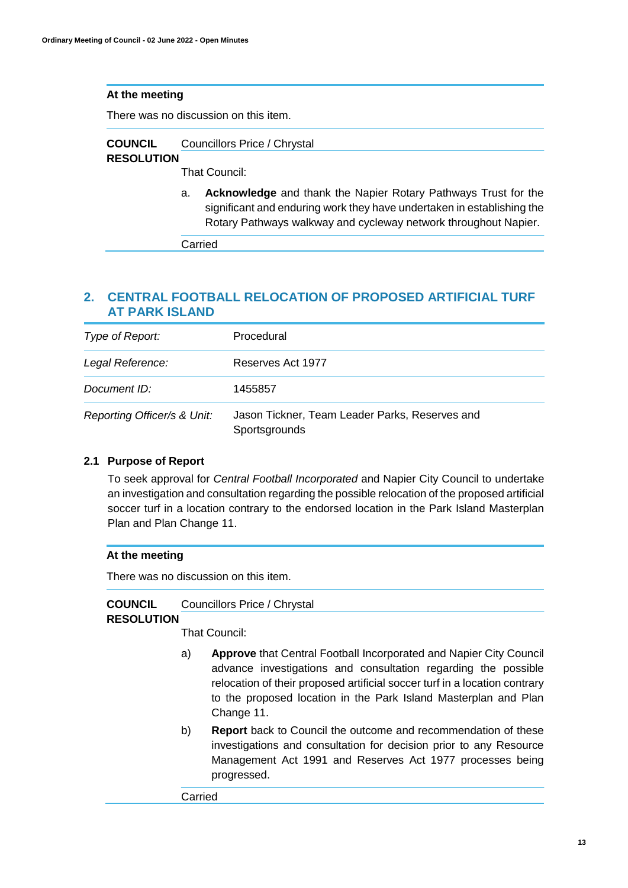There was no discussion on this item.

#### **COUNCIL**  Councillors Price / Chrystal

# **RESOLUTION**

That Council:

a. **Acknowledge** and thank the Napier Rotary Pathways Trust for the significant and enduring work they have undertaken in establishing the Rotary Pathways walkway and cycleway network throughout Napier.

Carried

# **2. CENTRAL FOOTBALL RELOCATION OF PROPOSED ARTIFICIAL TURF AT PARK ISLAND**

| Type of Report:             | Procedural                                                      |
|-----------------------------|-----------------------------------------------------------------|
| Legal Reference:            | Reserves Act 1977                                               |
| Document ID:                | 1455857                                                         |
| Reporting Officer/s & Unit: | Jason Tickner, Team Leader Parks, Reserves and<br>Sportsgrounds |

# **2.1 Purpose of Report**

To seek approval for *Central Football Incorporated* and Napier City Council to undertake an investigation and consultation regarding the possible relocation of the proposed artificial soccer turf in a location contrary to the endorsed location in the Park Island Masterplan Plan and Plan Change 11.

# **At the meeting**

There was no discussion on this item.

#### **COUNCIL**  Councillors Price / Chrystal

## **RESOLUTION**

That Council:

- a) **Approve** that Central Football Incorporated and Napier City Council advance investigations and consultation regarding the possible relocation of their proposed artificial soccer turf in a location contrary to the proposed location in the Park Island Masterplan and Plan Change 11.
- b) **Report** back to Council the outcome and recommendation of these investigations and consultation for decision prior to any Resource Management Act 1991 and Reserves Act 1977 processes being progressed.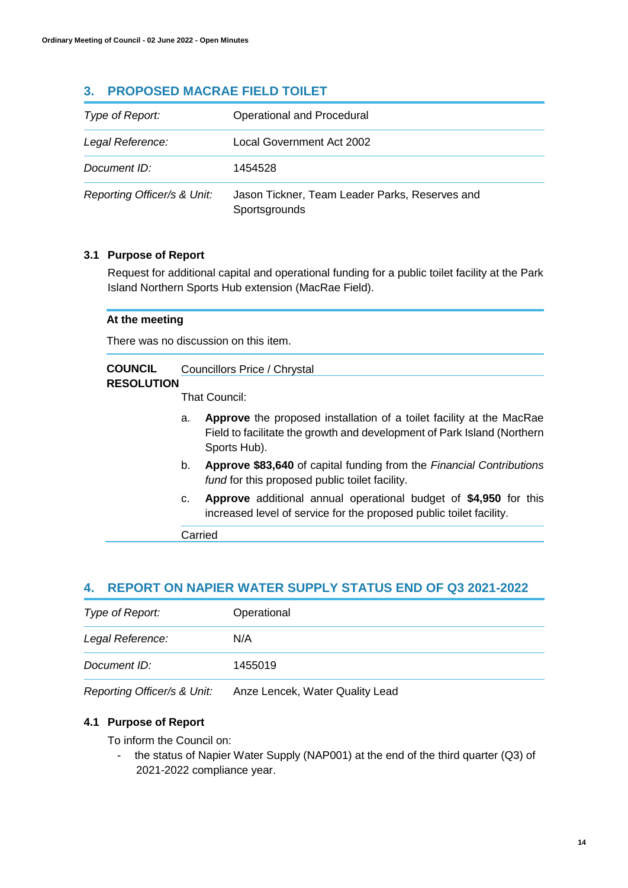# **3. PROPOSED MACRAE FIELD TOILET**

| Type of Report:             | Operational and Procedural                                      |
|-----------------------------|-----------------------------------------------------------------|
| Legal Reference:            | Local Government Act 2002                                       |
| Document ID:                | 1454528                                                         |
| Reporting Officer/s & Unit: | Jason Tickner, Team Leader Parks, Reserves and<br>Sportsgrounds |

# **3.1 Purpose of Report**

Request for additional capital and operational funding for a public toilet facility at the Park Island Northern Sports Hub extension (MacRae Field).

## **At the meeting**

There was no discussion on this item.

#### **COUNCIL**  Councillors Price / Chrystal

### **RESOLUTION**

That Council:

- a. **Approve** the proposed installation of a toilet facility at the MacRae Field to facilitate the growth and development of Park Island (Northern Sports Hub).
- b. **Approve \$83,640** of capital funding from the *Financial Contributions fund* for this proposed public toilet facility.
- c. **Approve** additional annual operational budget of **\$4,950** for this increased level of service for the proposed public toilet facility.

Carried

# **4. REPORT ON NAPIER WATER SUPPLY STATUS END OF Q3 2021-2022**

| Type of Report:  | Operational |
|------------------|-------------|
| Legal Reference: | N/A         |
| Document ID:     | 1455019     |

*Reporting Officer/s & Unit:* Anze Lencek, Water Quality Lead

# **4.1 Purpose of Report**

To inform the Council on:

- the status of Napier Water Supply (NAP001) at the end of the third quarter (Q3) of 2021-2022 compliance year.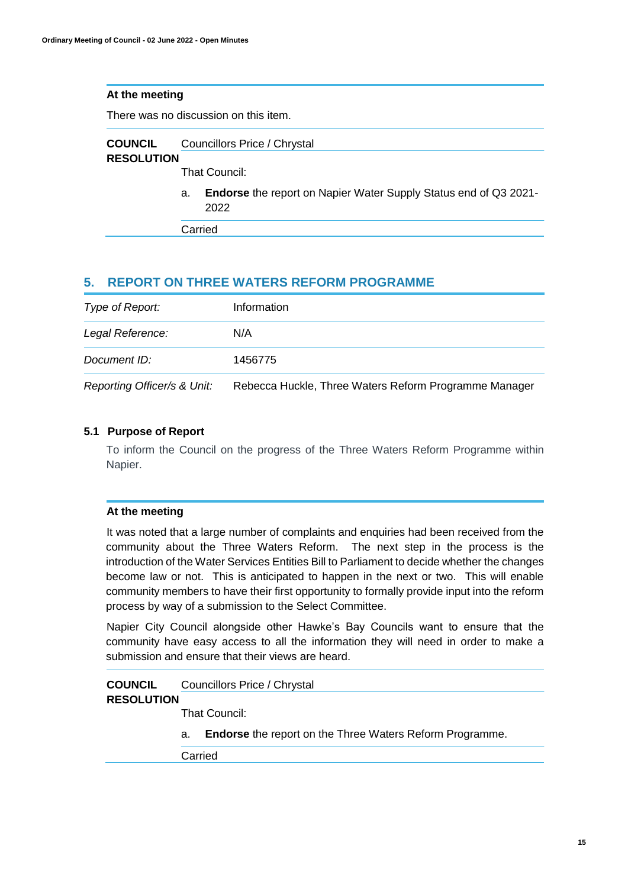There was no discussion on this item.

| <b>COUNCIL</b>    | Councillors Price / Chrystal |
|-------------------|------------------------------|
| <b>RESOLUTION</b> |                              |
|                   | That Council:                |

a. **Endorse** the report on Napier Water Supply Status end of Q3 2021- 2022

Carried

# **5. REPORT ON THREE WATERS REFORM PROGRAMME**

| Type of Report:             | Information                                           |
|-----------------------------|-------------------------------------------------------|
| Legal Reference:            | N/A                                                   |
| Document ID:                | 1456775                                               |
| Reporting Officer/s & Unit: | Rebecca Huckle, Three Waters Reform Programme Manager |

# **5.1 Purpose of Report**

To inform the Council on the progress of the Three Waters Reform Programme within Napier.

## **At the meeting**

It was noted that a large number of complaints and enquiries had been received from the community about the Three Waters Reform. The next step in the process is the introduction of the Water Services Entities Bill to Parliament to decide whether the changes become law or not. This is anticipated to happen in the next or two. This will enable community members to have their first opportunity to formally provide input into the reform process by way of a submission to the Select Committee.

Napier City Council alongside other Hawke's Bay Councils want to ensure that the community have easy access to all the information they will need in order to make a submission and ensure that their views are heard.

#### **COUNCIL**  Councillors Price / Chrystal

# **RESOLUTION**

That Council:

a. **Endorse** the report on the Three Waters Reform Programme.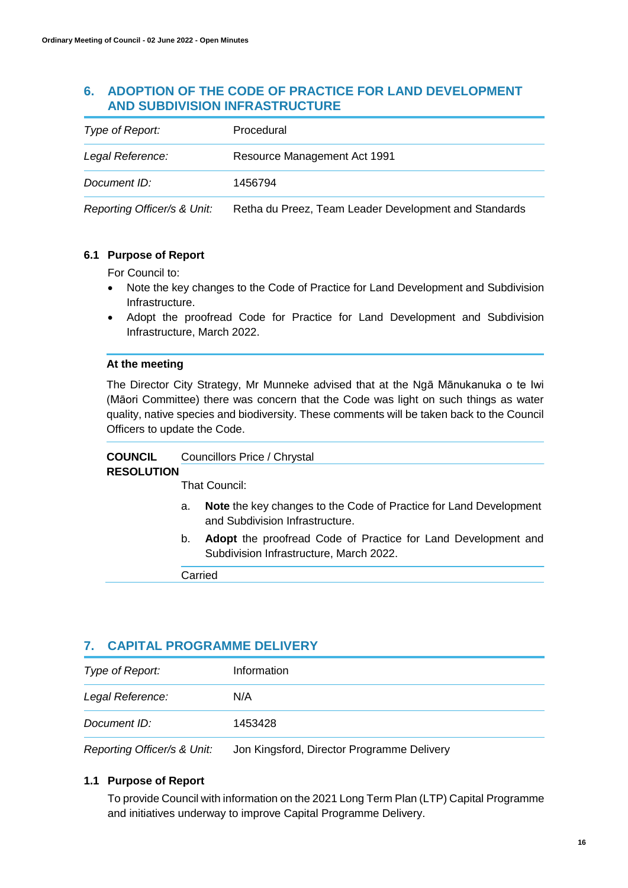# **6. ADOPTION OF THE CODE OF PRACTICE FOR LAND DEVELOPMENT AND SUBDIVISION INFRASTRUCTURE**

| Type of Report:  | Procedural                   |
|------------------|------------------------------|
| Legal Reference: | Resource Management Act 1991 |
| Document ID:     | 1456794                      |

*Reporting Officer/s & Unit:* Retha du Preez, Team Leader Development and Standards

# **6.1 Purpose of Report**

For Council to:

- Note the key changes to the Code of Practice for Land Development and Subdivision Infrastructure.
- Adopt the proofread Code for Practice for Land Development and Subdivision Infrastructure, March 2022.

## **At the meeting**

The Director City Strategy, Mr Munneke advised that at the Ngā Mānukanuka o te Iwi (Māori Committee) there was concern that the Code was light on such things as water quality, native species and biodiversity. These comments will be taken back to the Council Officers to update the Code.

#### **COUNCIL**  Councillors Price / Chrystal

# **RESOLUTION**

That Council:

- a. **Note** the key changes to the Code of Practice for Land Development and Subdivision Infrastructure.
- b. **Adopt** the proofread Code of Practice for Land Development and Subdivision Infrastructure, March 2022.

Carried

# **7. CAPITAL PROGRAMME DELIVERY**

| Type of Report:  | Information |  |
|------------------|-------------|--|
| Legal Reference: | N/A         |  |
| Document ID:     | 1453428     |  |
|                  |             |  |

*Reporting Officer/s & Unit:* Jon Kingsford, Director Programme Delivery

# **1.1 Purpose of Report**

To provide Council with information on the 2021 Long Term Plan (LTP) Capital Programme and initiatives underway to improve Capital Programme Delivery.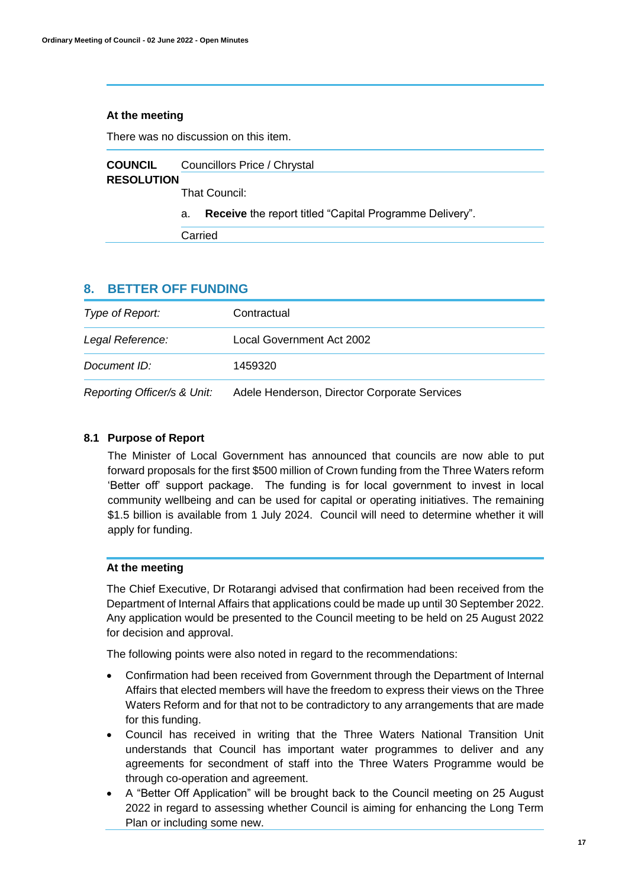There was no discussion on this item.

| <b>COUNCIL</b>    | Councillors Price / Chrystal |   |  |  |     |  |
|-------------------|------------------------------|---|--|--|-----|--|
| <b>RESOLUTION</b> |                              |   |  |  |     |  |
|                   | That Council:                |   |  |  |     |  |
|                   |                              | . |  |  | - - |  |

a. **Receive** the report titled "Capital Programme Delivery".

Carried

# **8. BETTER OFF FUNDING**

| Type of Report:             | Contractual                                  |
|-----------------------------|----------------------------------------------|
| Legal Reference:            | Local Government Act 2002                    |
| Document ID:                | 1459320                                      |
| Reporting Officer/s & Unit: | Adele Henderson, Director Corporate Services |

# **8.1 Purpose of Report**

The Minister of Local Government has announced that councils are now able to put forward proposals for the first \$500 million of Crown funding from the Three Waters reform 'Better off' support package. The funding is for local government to invest in local community wellbeing and can be used for capital or operating initiatives. The remaining \$1.5 billion is available from 1 July 2024. Council will need to determine whether it will apply for funding.

## **At the meeting**

The Chief Executive, Dr Rotarangi advised that confirmation had been received from the Department of Internal Affairs that applications could be made up until 30 September 2022. Any application would be presented to the Council meeting to be held on 25 August 2022 for decision and approval.

The following points were also noted in regard to the recommendations:

- Confirmation had been received from Government through the Department of Internal Affairs that elected members will have the freedom to express their views on the Three Waters Reform and for that not to be contradictory to any arrangements that are made for this funding.
- Council has received in writing that the Three Waters National Transition Unit understands that Council has important water programmes to deliver and any agreements for secondment of staff into the Three Waters Programme would be through co-operation and agreement.
- A "Better Off Application" will be brought back to the Council meeting on 25 August 2022 in regard to assessing whether Council is aiming for enhancing the Long Term Plan or including some new.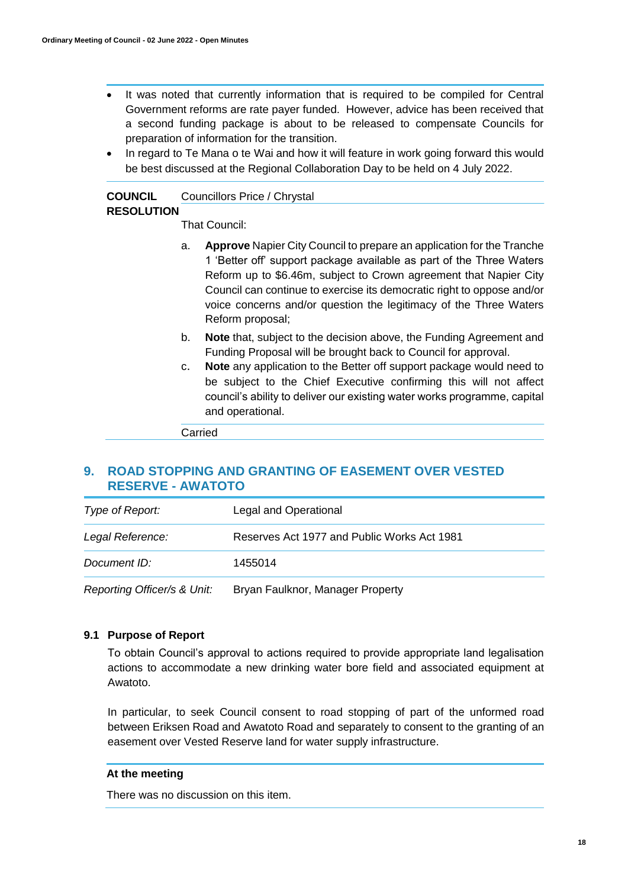- It was noted that currently information that is required to be compiled for Central Government reforms are rate payer funded. However, advice has been received that a second funding package is about to be released to compensate Councils for preparation of information for the transition.
- In regard to Te Mana o te Wai and how it will feature in work going forward this would be best discussed at the Regional Collaboration Day to be held on 4 July 2022.

#### **COUNCIL**  Councillors Price / Chrystal

# **RESOLUTION**

That Council:

- a. **Approve** Napier City Council to prepare an application for the Tranche 1 'Better off' support package available as part of the Three Waters Reform up to \$6.46m, subject to Crown agreement that Napier City Council can continue to exercise its democratic right to oppose and/or voice concerns and/or question the legitimacy of the Three Waters Reform proposal;
- b. **Note** that, subject to the decision above, the Funding Agreement and Funding Proposal will be brought back to Council for approval.
- c. **Note** any application to the Better off support package would need to be subject to the Chief Executive confirming this will not affect council's ability to deliver our existing water works programme, capital and operational.

Carried

# **9. ROAD STOPPING AND GRANTING OF EASEMENT OVER VESTED RESERVE - AWATOTO**

| Type of Report:             | Legal and Operational                       |
|-----------------------------|---------------------------------------------|
| Legal Reference:            | Reserves Act 1977 and Public Works Act 1981 |
| Document ID:                | 1455014                                     |
| Reporting Officer/s & Unit: | Bryan Faulknor, Manager Property            |

## **9.1 Purpose of Report**

To obtain Council's approval to actions required to provide appropriate land legalisation actions to accommodate a new drinking water bore field and associated equipment at Awatoto.

In particular, to seek Council consent to road stopping of part of the unformed road between Eriksen Road and Awatoto Road and separately to consent to the granting of an easement over Vested Reserve land for water supply infrastructure.

## **At the meeting**

There was no discussion on this item.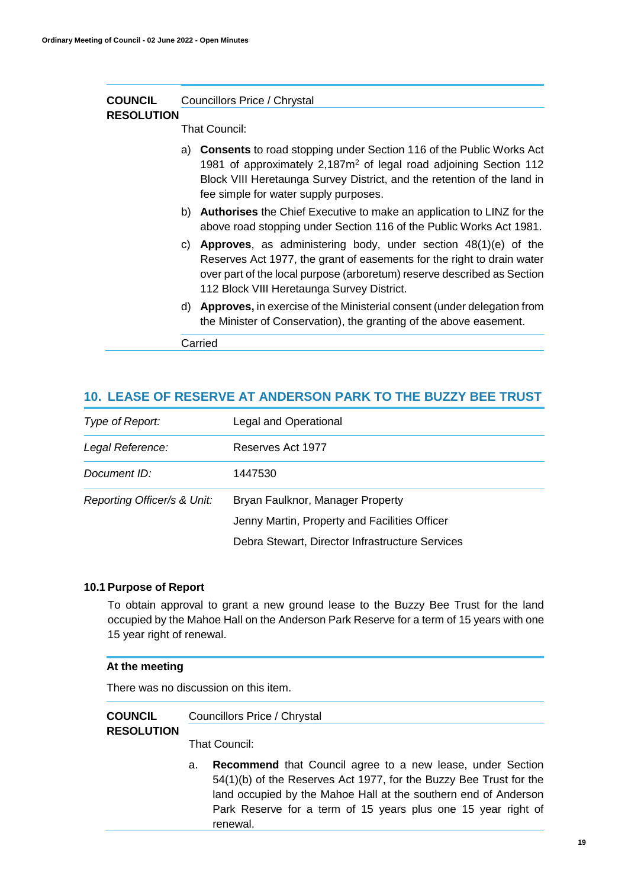| <b>COUNCIL</b>    | Councillors Price / Chrystal                                                                                                                                                                                                                                                          |  |  |  |
|-------------------|---------------------------------------------------------------------------------------------------------------------------------------------------------------------------------------------------------------------------------------------------------------------------------------|--|--|--|
| <b>RESOLUTION</b> | That Council:                                                                                                                                                                                                                                                                         |  |  |  |
|                   | <b>Consents</b> to road stopping under Section 116 of the Public Works Act<br>a)<br>1981 of approximately 2,187m <sup>2</sup> of legal road adjoining Section 112<br>Block VIII Heretaunga Survey District, and the retention of the land in<br>fee simple for water supply purposes. |  |  |  |
|                   | b) Authorises the Chief Executive to make an application to LINZ for the<br>above road stopping under Section 116 of the Public Works Act 1981.                                                                                                                                       |  |  |  |
|                   | c) <b>Approves</b> , as administering body, under section $48(1)(e)$ of the<br>Reserves Act 1977, the grant of easements for the right to drain water<br>over part of the local purpose (arboretum) reserve described as Section<br>112 Block VIII Heretaunga Survey District.        |  |  |  |
|                   | d) Approves, in exercise of the Ministerial consent (under delegation from<br>the Minister of Conservation), the granting of the above easement.                                                                                                                                      |  |  |  |
|                   | Carried                                                                                                                                                                                                                                                                               |  |  |  |

# **10. LEASE OF RESERVE AT ANDERSON PARK TO THE BUZZY BEE TRUST**

| Type of Report:             | Legal and Operational                           |
|-----------------------------|-------------------------------------------------|
| Legal Reference:            | Reserves Act 1977                               |
| Document ID:                | 1447530                                         |
| Reporting Officer/s & Unit: | Bryan Faulknor, Manager Property                |
|                             | Jenny Martin, Property and Facilities Officer   |
|                             | Debra Stewart, Director Infrastructure Services |

### **10.1 Purpose of Report**

To obtain approval to grant a new ground lease to the Buzzy Bee Trust for the land occupied by the Mahoe Hall on the Anderson Park Reserve for a term of 15 years with one 15 year right of renewal.

## **At the meeting**

There was no discussion on this item.

#### **COUNCIL**  Councillors Price / Chrystal

# **RESOLUTION**

That Council:

a. **Recommend** that Council agree to a new lease, under Section 54(1)(b) of the Reserves Act 1977, for the Buzzy Bee Trust for the land occupied by the Mahoe Hall at the southern end of Anderson Park Reserve for a term of 15 years plus one 15 year right of renewal.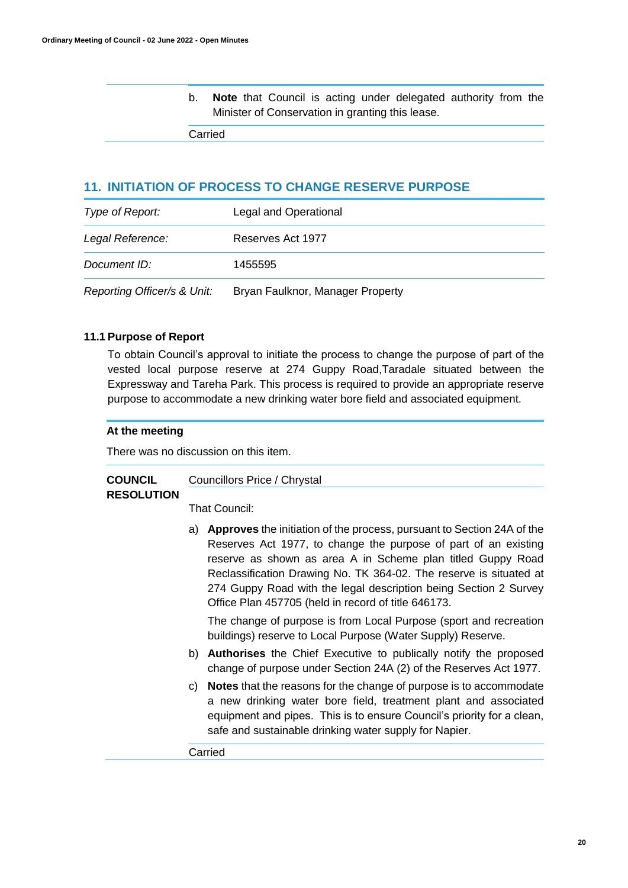b. **Note** that Council is acting under delegated authority from the Minister of Conservation in granting this lease.

Carried

# **11. INITIATION OF PROCESS TO CHANGE RESERVE PURPOSE**

| Type of Report:             | Legal and Operational            |
|-----------------------------|----------------------------------|
| Legal Reference:            | Reserves Act 1977                |
| Document ID:                | 1455595                          |
| Reporting Officer/s & Unit: | Bryan Faulknor, Manager Property |

## **11.1 Purpose of Report**

To obtain Council's approval to initiate the process to change the purpose of part of the vested local purpose reserve at 274 Guppy Road,Taradale situated between the Expressway and Tareha Park. This process is required to provide an appropriate reserve purpose to accommodate a new drinking water bore field and associated equipment.

# **At the meeting**

There was no discussion on this item.

#### **COUNCIL**  Councillors Price / Chrystal

## **RESOLUTION**

That Council:

a) **Approves** the initiation of the process, pursuant to Section 24A of the Reserves Act 1977, to change the purpose of part of an existing reserve as shown as area A in Scheme plan titled Guppy Road Reclassification Drawing No. TK 364-02. The reserve is situated at 274 Guppy Road with the legal description being Section 2 Survey Office Plan 457705 (held in record of title 646173.

The change of purpose is from Local Purpose (sport and recreation buildings) reserve to Local Purpose (Water Supply) Reserve.

- b) **Authorises** the Chief Executive to publically notify the proposed change of purpose under Section 24A (2) of the Reserves Act 1977.
- c) **Notes** that the reasons for the change of purpose is to accommodate a new drinking water bore field, treatment plant and associated equipment and pipes. This is to ensure Council's priority for a clean, safe and sustainable drinking water supply for Napier.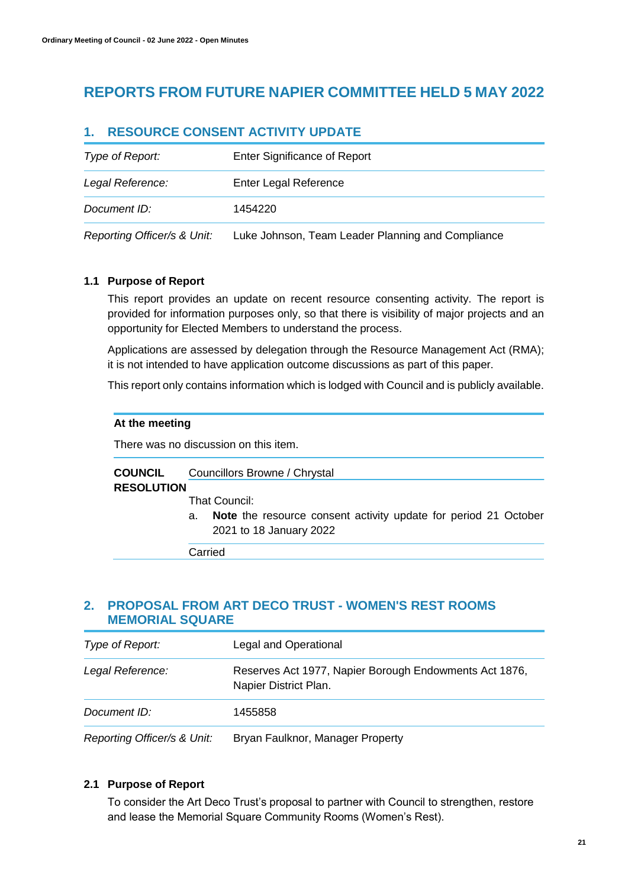# **REPORTS FROM FUTURE NAPIER COMMITTEE HELD 5 MAY 2022**

# **1. RESOURCE CONSENT ACTIVITY UPDATE**

| Type of Report:             | <b>Enter Significance of Report</b>               |
|-----------------------------|---------------------------------------------------|
| Legal Reference:            | Enter Legal Reference                             |
| Document ID:                | 1454220                                           |
| Reporting Officer/s & Unit: | Luke Johnson, Team Leader Planning and Compliance |

# **1.1 Purpose of Report**

This report provides an update on recent resource consenting activity. The report is provided for information purposes only, so that there is visibility of major projects and an opportunity for Elected Members to understand the process.

Applications are assessed by delegation through the Resource Management Act (RMA); it is not intended to have application outcome discussions as part of this paper.

This report only contains information which is lodged with Council and is publicly available.

### **At the meeting**

There was no discussion on this item.

#### **COUNCIL**  Councillors Browne / Chrystal

### **RESOLUTION**

That Council:

a. **Note** the resource consent activity update for period 21 October 2021 to 18 January 2022

Carried

# **2. PROPOSAL FROM ART DECO TRUST - WOMEN'S REST ROOMS MEMORIAL SQUARE**

| Type of Report:             | Legal and Operational                                                           |  |
|-----------------------------|---------------------------------------------------------------------------------|--|
| Legal Reference:            | Reserves Act 1977, Napier Borough Endowments Act 1876,<br>Napier District Plan. |  |
| Document ID:                | 1455858                                                                         |  |
| Reporting Officer/s & Unit: | Bryan Faulknor, Manager Property                                                |  |

## **2.1 Purpose of Report**

To consider the Art Deco Trust's proposal to partner with Council to strengthen, restore and lease the Memorial Square Community Rooms (Women's Rest).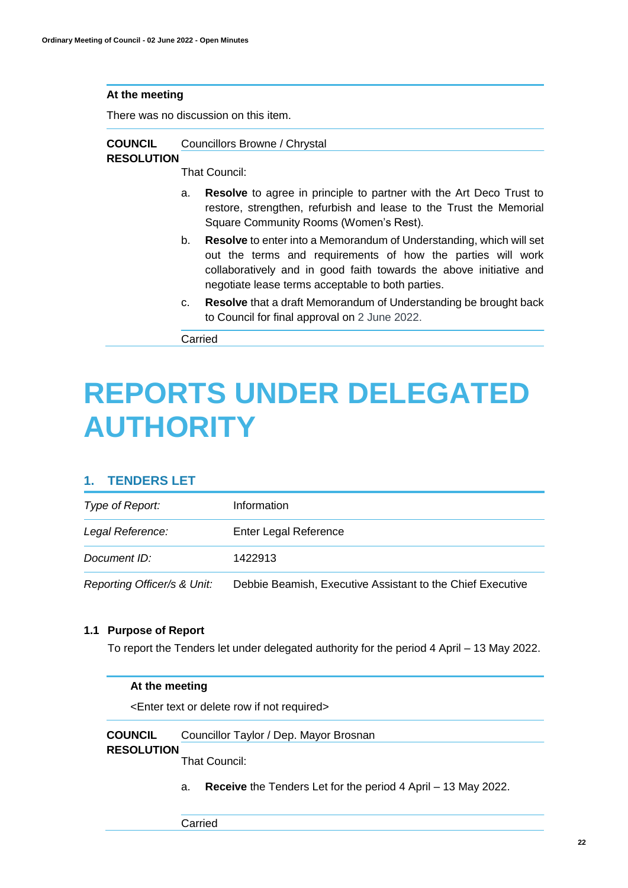There was no discussion on this item.

#### **COUNCIL**  Councillors Browne / Chrystal

# **RESOLUTION**

That Council:

- a. **Resolve** to agree in principle to partner with the Art Deco Trust to restore, strengthen, refurbish and lease to the Trust the Memorial Square Community Rooms (Women's Rest).
- b. **Resolve** to enter into a Memorandum of Understanding, which will set out the terms and requirements of how the parties will work collaboratively and in good faith towards the above initiative and negotiate lease terms acceptable to both parties.
- c. **Resolve** that a draft Memorandum of Understanding be brought back to Council for final approval on 2 June 2022.

Carried

# **REPORTS UNDER DELEGATED AUTHORITY**

# **1. TENDERS LET**

| Type of Report:             | Information                                                |
|-----------------------------|------------------------------------------------------------|
| Legal Reference:            | Enter Legal Reference                                      |
| Document ID:                | 1422913                                                    |
| Reporting Officer/s & Unit: | Debbie Beamish, Executive Assistant to the Chief Executive |

## **1.1 Purpose of Report**

To report the Tenders let under delegated authority for the period 4 April – 13 May 2022.

## **At the meeting**

<Enter text or delete row if not required>

**COUNCIL**  Councillor Taylor / Dep. Mayor Brosnan

## **RESOLUTION**

That Council:

a. **Receive** the Tenders Let for the period 4 April – 13 May 2022.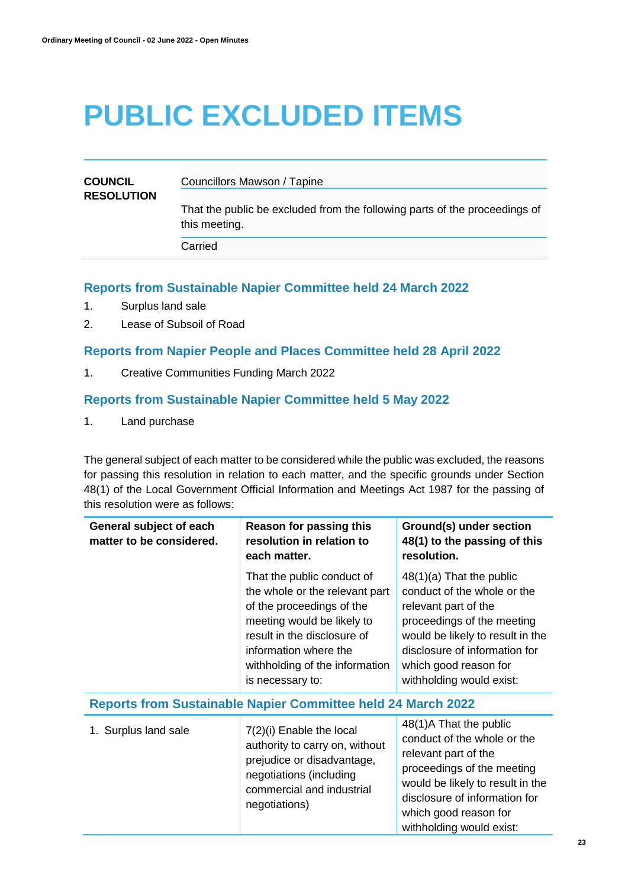# **PUBLIC EXCLUDED ITEMS**

| <b>COUNCIL</b><br><b>RESOLUTION</b> | Councillors Mawson / Tapine                                                                 |
|-------------------------------------|---------------------------------------------------------------------------------------------|
|                                     | That the public be excluded from the following parts of the proceedings of<br>this meeting. |
|                                     | Carried                                                                                     |

# **Reports from Sustainable Napier Committee held 24 March 2022**

- 1. Surplus land sale
- 2. Lease of Subsoil of Road

# **Reports from Napier People and Places Committee held 28 April 2022**

1. Creative Communities Funding March 2022

# **Reports from Sustainable Napier Committee held 5 May 2022**

1. Land purchase

The general subject of each matter to be considered while the public was excluded, the reasons for passing this resolution in relation to each matter, and the specific grounds under Section 48(1) of the Local Government Official Information and Meetings Act 1987 for the passing of this resolution were as follows:

| General subject of each<br>matter to be considered.                 | Reason for passing this<br>resolution in relation to<br>each matter.                                                                                                                                                                  | Ground(s) under section<br>48(1) to the passing of this<br>resolution.                                                                                                                                                                    |
|---------------------------------------------------------------------|---------------------------------------------------------------------------------------------------------------------------------------------------------------------------------------------------------------------------------------|-------------------------------------------------------------------------------------------------------------------------------------------------------------------------------------------------------------------------------------------|
|                                                                     | That the public conduct of<br>the whole or the relevant part<br>of the proceedings of the<br>meeting would be likely to<br>result in the disclosure of<br>information where the<br>withholding of the information<br>is necessary to: | $48(1)(a)$ That the public<br>conduct of the whole or the<br>relevant part of the<br>proceedings of the meeting<br>would be likely to result in the<br>disclosure of information for<br>which good reason for<br>withholding would exist: |
| <b>Reports from Sustainable Napier Committee held 24 March 2022</b> |                                                                                                                                                                                                                                       |                                                                                                                                                                                                                                           |
| 1. Surplus land sale                                                | 7(2)(i) Enable the local<br>authority to carry on, without<br>prejudice or disadvantage,<br>negotiations (including<br>commercial and industrial<br>negotiations)                                                                     | 48(1)A That the public<br>conduct of the whole or the<br>relevant part of the<br>proceedings of the meeting<br>would be likely to result in the<br>disclosure of information for<br>which good reason for<br>withholding would exist:     |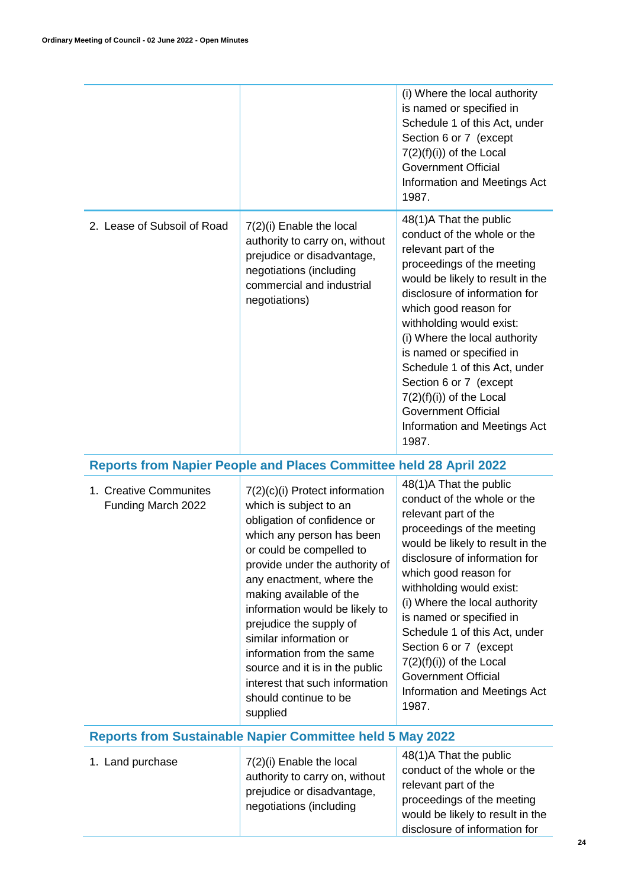|                                                                  |                                                                                                                                                                                                                                                                                                                                                                                                                                                                        | (i) Where the local authority<br>is named or specified in<br>Schedule 1 of this Act, under<br>Section 6 or 7 (except<br>$7(2)(f)(i))$ of the Local<br><b>Government Official</b><br>Information and Meetings Act<br>1987.                                                                                                                                                                                                                                          |  |
|------------------------------------------------------------------|------------------------------------------------------------------------------------------------------------------------------------------------------------------------------------------------------------------------------------------------------------------------------------------------------------------------------------------------------------------------------------------------------------------------------------------------------------------------|--------------------------------------------------------------------------------------------------------------------------------------------------------------------------------------------------------------------------------------------------------------------------------------------------------------------------------------------------------------------------------------------------------------------------------------------------------------------|--|
| 2. Lease of Subsoil of Road                                      | 7(2)(i) Enable the local<br>authority to carry on, without<br>prejudice or disadvantage,<br>negotiations (including<br>commercial and industrial<br>negotiations)                                                                                                                                                                                                                                                                                                      | 48(1)A That the public<br>conduct of the whole or the<br>relevant part of the<br>proceedings of the meeting<br>would be likely to result in the<br>disclosure of information for<br>which good reason for<br>withholding would exist:<br>(i) Where the local authority<br>is named or specified in<br>Schedule 1 of this Act, under<br>Section 6 or 7 (except<br>$7(2)(f)(i))$ of the Local<br><b>Government Official</b><br>Information and Meetings Act<br>1987. |  |
|                                                                  | <b>Reports from Napier People and Places Committee held 28 April 2022</b>                                                                                                                                                                                                                                                                                                                                                                                              |                                                                                                                                                                                                                                                                                                                                                                                                                                                                    |  |
| 1. Creative Communites<br>Funding March 2022                     | 7(2)(c)(i) Protect information<br>which is subject to an<br>obligation of confidence or<br>which any person has been<br>or could be compelled to<br>provide under the authority of<br>any enactment, where the<br>making available of the<br>information would be likely to<br>prejudice the supply of<br>similar information or<br>information from the same<br>source and it is in the public<br>interest that such information<br>should continue to be<br>supplied | 48(1)A That the public<br>conduct of the whole or the<br>relevant part of the<br>proceedings of the meeting<br>would be likely to result in the<br>disclosure of information for<br>which good reason for<br>withholding would exist:<br>(i) Where the local authority<br>is named or specified in<br>Schedule 1 of this Act, under<br>Section 6 or 7 (except<br>$7(2)(f)(i))$ of the Local<br><b>Government Official</b><br>Information and Meetings Act<br>1987. |  |
| <b>Reports from Sustainable Napier Committee held 5 May 2022</b> |                                                                                                                                                                                                                                                                                                                                                                                                                                                                        |                                                                                                                                                                                                                                                                                                                                                                                                                                                                    |  |
| 1. Land purchase                                                 | 7(2)(i) Enable the local<br>authority to carry on, without<br>prejudice or disadvantage,<br>negotiations (including                                                                                                                                                                                                                                                                                                                                                    | 48(1)A That the public<br>conduct of the whole or the<br>relevant part of the<br>proceedings of the meeting                                                                                                                                                                                                                                                                                                                                                        |  |

would be likely to result in the disclosure of information for